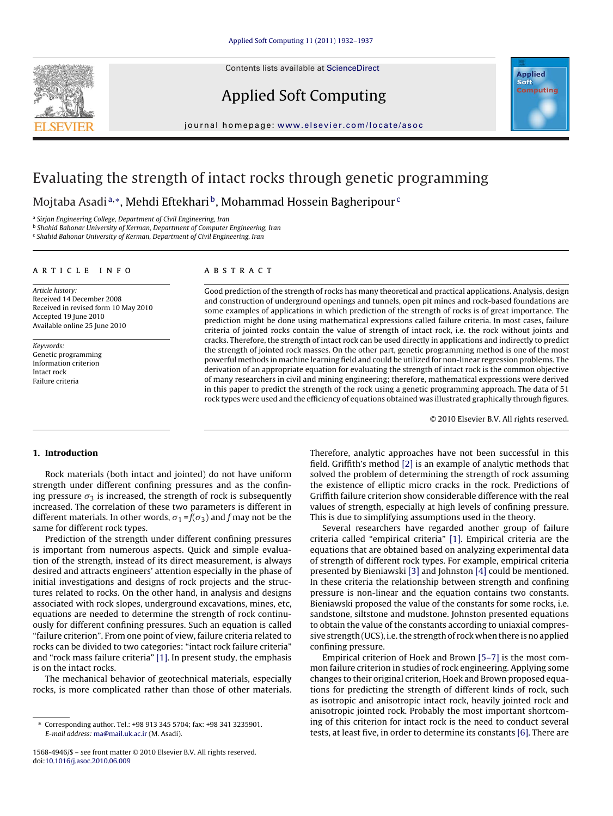Contents lists available at [ScienceDirect](http://www.sciencedirect.com/science/journal/15684946)







journal homepage: <www.elsevier.com/locate/asoc>

## Evaluating the strength of intact rocks through genetic programming

Mojtaba Asadi<sup>a,∗</sup>, Mehdi Eftekhari<sup>b</sup>, Mohammad Hossein Bagheripour<sup>c</sup>

<sup>a</sup> Sirjan Engineering College, Department of Civil Engineering, Iran

**b Shahid Bahonar University of Kerman, Department of Computer Engineering, Iran** 

<sup>c</sup> Shahid Bahonar University of Kerman, Department of Civil Engineering, Iran

#### article info

Article history: Received 14 December 2008 Received in revised form 10 May 2010 Accepted 19 June 2010 Available online 25 June 2010

Keywords: Genetic programming Information criterion Intact rock Failure criteria

### **ABSTRACT**

Good prediction of the strength of rocks has many theoretical and practical applications. Analysis, design and construction of underground openings and tunnels, open pit mines and rock-based foundations are some examples of applications in which prediction of the strength of rocks is of great importance. The prediction might be done using mathematical expressions called failure criteria. In most cases, failure criteria of jointed rocks contain the value of strength of intact rock, i.e. the rock without joints and cracks. Therefore, the strength of intact rock can be used directly in applications and indirectly to predict the strength of jointed rock masses. On the other part, genetic programming method is one of the most powerful methods in machine learning field and could be utilized for non-linear regression problems. The derivation of an appropriate equation for evaluating the strength of intact rock is the common objective of many researchers in civil and mining engineering; therefore, mathematical expressions were derived in this paper to predict the strength of the rock using a genetic programming approach. The data of 51 rock types were used and the efficiency of equations obtained was illustrated graphically through figures.

© 2010 Elsevier B.V. All rights reserved.

#### **1. Introduction**

Rock materials (both intact and jointed) do not have uniform strength under different confining pressures and as the confining pressure  $\sigma_3$  is increased, the strength of rock is subsequently increased. The correlation of these two parameters is different in different materials. In other words,  $\sigma_1$  = f( $\sigma_3$ ) and f may not be the same for different rock types.

Prediction of the strength under different confining pressures is important from numerous aspects. Quick and simple evaluation of the strength, instead of its direct measurement, is always desired and attracts engineers' attention especially in the phase of initial investigations and designs of rock projects and the structures related to rocks. On the other hand, in analysis and designs associated with rock slopes, underground excavations, mines, etc, equations are needed to determine the strength of rock continuously for different confining pressures. Such an equation is called "failure criterion". From one point of view, failure criteria related to rocks can be divided to two categories: "intact rock failure criteria" and "rock mass failure criteria" [\[1\]. I](#page--1-0)n present study, the emphasis is on the intact rocks.

The mechanical behavior of geotechnical materials, especially rocks, is more complicated rather than those of other materials.

Therefore, analytic approaches have not been successful in this field. Griffith's method [\[2\]](#page--1-0) is an example of analytic methods that solved the problem of determining the strength of rock assuming the existence of elliptic micro cracks in the rock. Predictions of Griffith failure criterion show considerable difference with the real values of strength, especially at high levels of confining pressure. This is due to simplifying assumptions used in the theory.

Several researchers have regarded another group of failure criteria called "empirical criteria" [\[1\].](#page--1-0) Empirical criteria are the equations that are obtained based on analyzing experimental data of strength of different rock types. For example, empirical criteria presented by Bieniawski [\[3\]](#page--1-0) and Johnston [\[4\]](#page--1-0) could be mentioned. In these criteria the relationship between strength and confining pressure is non-linear and the equation contains two constants. Bieniawski proposed the value of the constants for some rocks, i.e. sandstone, siltstone and mudstone. Johnston presented equations to obtain the value of the constants according to uniaxial compressive strength (UCS), i.e. the strength of rock when there is no applied confining pressure.

Empirical criterion of Hoek and Brown [\[5–7\]](#page--1-0) is the most common failure criterion in studies of rock engineering. Applying some changes to their original criterion, Hoek and Brown proposed equations for predicting the strength of different kinds of rock, such as isotropic and anisotropic intact rock, heavily jointed rock and anisotropic jointed rock. Probably the most important shortcoming of this criterion for intact rock is the need to conduct several tests, at least five, in order to determine its constants [\[6\]. T](#page--1-0)here are

<sup>∗</sup> Corresponding author. Tel.: +98 913 345 5704; fax: +98 341 3235901. E-mail address: [ma@mail.uk.ac.ir](mailto:ma@mail.uk.ac.ir) (M. Asadi).

<sup>1568-4946/\$ –</sup> see front matter © 2010 Elsevier B.V. All rights reserved. doi:[10.1016/j.asoc.2010.06.009](dx.doi.org/10.1016/j.asoc.2010.06.009)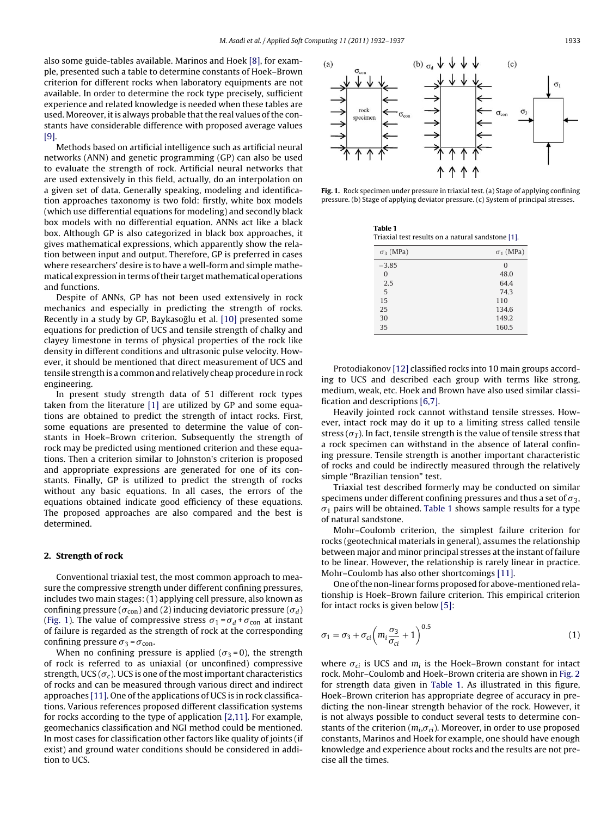also some guide-tables available. Marinos and Hoek [\[8\], f](#page--1-0)or example, presented such a table to determine constants of Hoek–Brown criterion for different rocks when laboratory equipments are not available. In order to determine the rock type precisely, sufficient experience and related knowledge is needed when these tables are used. Moreover, it is always probable that the real values of the constants have considerable difference with proposed average values [\[9\].](#page--1-0)

Methods based on artificial intelligence such as artificial neural networks (ANN) and genetic programming (GP) can also be used to evaluate the strength of rock. Artificial neural networks that are used extensively in this field, actually, do an interpolation on a given set of data. Generally speaking, modeling and identification approaches taxonomy is two fold: firstly, white box models (which use differential equations for modeling) and secondly black box models with no differential equation. ANNs act like a black box. Although GP is also categorized in black box approaches, it gives mathematical expressions, which apparently show the relation between input and output. Therefore, GP is preferred in cases where researchers' desire is to have a well-form and simple mathematical expression in terms of their target mathematical operations and functions.

Despite of ANNs, GP has not been used extensively in rock mechanics and especially in predicting the strength of rocks. Recently in a study by GP, Baykasoğlu et al. [\[10\]](#page--1-0) presented some equations for prediction of UCS and tensile strength of chalky and clayey limestone in terms of physical properties of the rock like density in different conditions and ultrasonic pulse velocity. However, it should be mentioned that direct measurement of UCS and tensile strength is a common and relatively cheap procedure in rock engineering.

In present study strength data of 51 different rock types taken from the literature [\[1\]](#page--1-0) are utilized by GP and some equations are obtained to predict the strength of intact rocks. First, some equations are presented to determine the value of constants in Hoek–Brown criterion. Subsequently the strength of rock may be predicted using mentioned criterion and these equations. Then a criterion similar to Johnston's criterion is proposed and appropriate expressions are generated for one of its constants. Finally, GP is utilized to predict the strength of rocks without any basic equations. In all cases, the errors of the equations obtained indicate good efficiency of these equations. The proposed approaches are also compared and the best is determined.

#### **2. Strength of rock**

Conventional triaxial test, the most common approach to measure the compressive strength under different confining pressures, includes two main stages: (1) applying cell pressure, also known as confining pressure ( $\sigma_{\rm con}$ ) and (2) inducing deviatoric pressure ( $\sigma_d$ ) (Fig. 1). The value of compressive stress  $\sigma_1$  =  $\sigma_d$  +  $\sigma_{\rm con}$  at instant of failure is regarded as the strength of rock at the corresponding confining pressure  $\sigma_3$  =  $\sigma_{\rm con}$ .

When no confining pressure is applied ( $\sigma_3$ =0), the strength of rock is referred to as uniaxial (or unconfined) compressive strength, UCS ( $\sigma_c$ ). UCS is one of the most important characteristics of rocks and can be measured through various direct and indirect approaches [\[11\]. O](#page--1-0)ne of the applications of UCS is in rock classifications. Various references proposed different classification systems for rocks according to the type of application [\[2,11\]. F](#page--1-0)or example, geomechanics classification and NGI method could be mentioned. In most cases for classification other factors like quality of joints (if exist) and ground water conditions should be considered in addition to UCS.



**Fig. 1.** Rock specimen under pressure in triaxial test. (a) Stage of applying confining pressure. (b) Stage of applying deviator pressure. (c) System of principal stresses.

| Table 1                                           |  |
|---------------------------------------------------|--|
| Triaxial test results on a natural sandstone [1]. |  |

| $\sigma_3$ (MPa) | $\sigma_1$ (MPa) |
|------------------|------------------|
| $-3.85$          | 0                |
| $\Omega$         | 48.0             |
| 2.5              | 64.4             |
| 5                | 74.3             |
| 15               | 110              |
| 25               | 134.6            |
| 30               | 149.2            |
| 35               | 160.5            |

Protodiakonov [\[12\]](#page--1-0) classified rocks into 10 main groups according to UCS and described each group with terms like strong, medium, weak, etc. Hoek and Brown have also used similar classification and descriptions [\[6,7\].](#page--1-0)

Heavily jointed rock cannot withstand tensile stresses. However, intact rock may do it up to a limiting stress called tensile stress ( $\sigma_T$ ). In fact, tensile strength is the value of tensile stress that a rock specimen can withstand in the absence of lateral confining pressure. Tensile strength is another important characteristic of rocks and could be indirectly measured through the relatively simple "Brazilian tension" test.

Triaxial test described formerly may be conducted on similar specimens under different confining pressures and thus a set of  $\sigma_3$ ,  $\sigma_1$  pairs will be obtained. Table 1 shows sample results for a type of natural sandstone.

Mohr–Coulomb criterion, the simplest failure criterion for rocks (geotechnical materials in general), assumes the relationship between major and minor principal stresses at the instant of failure to be linear. However, the relationship is rarely linear in practice. Mohr–Coulomb has also other shortcomings [\[11\].](#page--1-0)

One of the non-linear forms proposed for above-mentioned relationship is Hoek–Brown failure criterion. This empirical criterion for intact rocks is given below [\[5\]:](#page--1-0)

$$
\sigma_1 = \sigma_3 + \sigma_{ci} \left( m_i \frac{\sigma_3}{\sigma_{ci}} + 1 \right)^{0.5} \tag{1}
$$

where  $\sigma_{ci}$  is UCS and  $m_i$  is the Hoek–Brown constant for intact rock. Mohr–Coulomb and Hoek–Brown criteria are shown in [Fig. 2](#page--1-0) for strength data given in Table 1. As illustrated in this figure, Hoek–Brown criterion has appropriate degree of accuracy in predicting the non-linear strength behavior of the rock. However, it is not always possible to conduct several tests to determine constants of the criterion ( $m_i, \sigma_{ci}$ ). Moreover, in order to use proposed constants, Marinos and Hoek for example, one should have enough knowledge and experience about rocks and the results are not precise all the times.